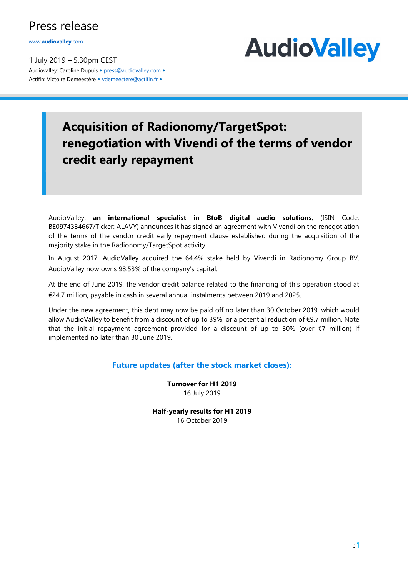### Press release

www.audiovalley.com

1 July 2019 – 5.30pm CEST Audiovalley: Caroline Dupuis • press@audiovalley.com • Actifin: Victoire Demeestère • vdemeestere@actifin.fr •



## Acquisition of Radionomy/TargetSpot: renegotiation with Vivendi of the terms of vendor credit early repayment

AudioValley, an international specialist in BtoB digital audio solutions, (ISIN Code: BE0974334667/Ticker: ALAVY) announces it has signed an agreement with Vivendi on the renegotiation of the terms of the vendor credit early repayment clause established during the acquisition of the majority stake in the Radionomy/TargetSpot activity.

In August 2017, AudioValley acquired the 64.4% stake held by Vivendi in Radionomy Group BV. AudioValley now owns 98.53% of the company's capital.

At the end of June 2019, the vendor credit balance related to the financing of this operation stood at €24.7 million, payable in cash in several annual instalments between 2019 and 2025.

Under the new agreement, this debt may now be paid off no later than 30 October 2019, which would allow AudioValley to benefit from a discount of up to 39%, or a potential reduction of €9.7 million. Note that the initial repayment agreement provided for a discount of up to 30% (over  $\epsilon$ 7 million) if implemented no later than 30 June 2019.

#### Future updates (after the stock market closes):

Turnover for H1 2019 16 July 2019

Half-yearly results for H1 2019 16 October 2019